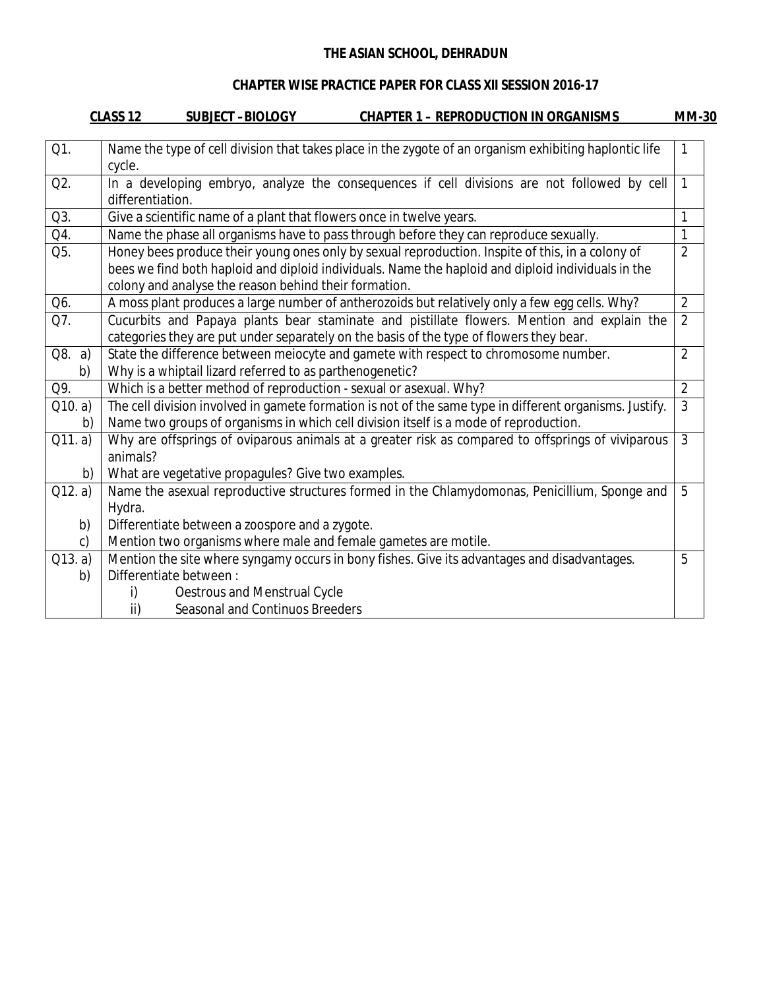#### **CHAPTER WISE PRACTICE PAPER FOR CLASS XII SESSION 2016-17**

|               | CLASS 12<br><b>SUBJECT-BIOLOGY</b><br><b>CHAPTER 1 – REPRODUCTION IN ORGANISMS</b>                                                                                                                                                                              | <u>MM-30</u>   |
|---------------|-----------------------------------------------------------------------------------------------------------------------------------------------------------------------------------------------------------------------------------------------------------------|----------------|
| Q1.           | Name the type of cell division that takes place in the zygote of an organism exhibiting haplontic life<br>cycle.                                                                                                                                                |                |
| Q2.           | In a developing embryo, analyze the consequences if cell divisions are not followed by cell<br>differentiation.                                                                                                                                                 | 1              |
| Q3.           | Give a scientific name of a plant that flowers once in twelve years.                                                                                                                                                                                            | 1              |
| Q4.           | Name the phase all organisms have to pass through before they can reproduce sexually.                                                                                                                                                                           | 1              |
| Q5.           | Honey bees produce their young ones only by sexual reproduction. Inspite of this, in a colony of<br>bees we find both haploid and diploid individuals. Name the haploid and diploid individuals in the<br>colony and analyse the reason behind their formation. | $\overline{2}$ |
| Q6.           | A moss plant produces a large number of antherozoids but relatively only a few egg cells. Why?                                                                                                                                                                  | $\overline{2}$ |
| Q7.           | Cucurbits and Papaya plants bear staminate and pistillate flowers. Mention and explain the<br>categories they are put under separately on the basis of the type of flowers they bear.                                                                           | $\overline{2}$ |
| Q8. a)<br>b)  | State the difference between meiocyte and gamete with respect to chromosome number.<br>Why is a whiptail lizard referred to as parthenogenetic?                                                                                                                 | $\overline{2}$ |
| Q9.           | Which is a better method of reproduction - sexual or asexual. Why?                                                                                                                                                                                              | $\overline{2}$ |
| Q10. a)<br>b) | The cell division involved in gamete formation is not of the same type in different organisms. Justify.<br>Name two groups of organisms in which cell division itself is a mode of reproduction.                                                                | $\overline{3}$ |
| Q11. a)       | Why are offsprings of oviparous animals at a greater risk as compared to offsprings of viviparous<br>animals?                                                                                                                                                   | 3              |
| b)            | What are vegetative propagules? Give two examples.                                                                                                                                                                                                              |                |
| Q12. a)       | Name the asexual reproductive structures formed in the Chlamydomonas, Penicillium, Sponge and<br>Hydra.                                                                                                                                                         | 5              |
| b)            | Differentiate between a zoospore and a zygote.                                                                                                                                                                                                                  |                |
| c)            | Mention two organisms where male and female gametes are motile.                                                                                                                                                                                                 |                |
| Q13. a)       | Mention the site where syngamy occurs in bony fishes. Give its advantages and disadvantages.                                                                                                                                                                    | 5              |
| b)            | Differentiate between:                                                                                                                                                                                                                                          |                |
|               | Oestrous and Menstrual Cycle<br>i)                                                                                                                                                                                                                              |                |
|               | Seasonal and Continuos Breeders<br>ii)                                                                                                                                                                                                                          |                |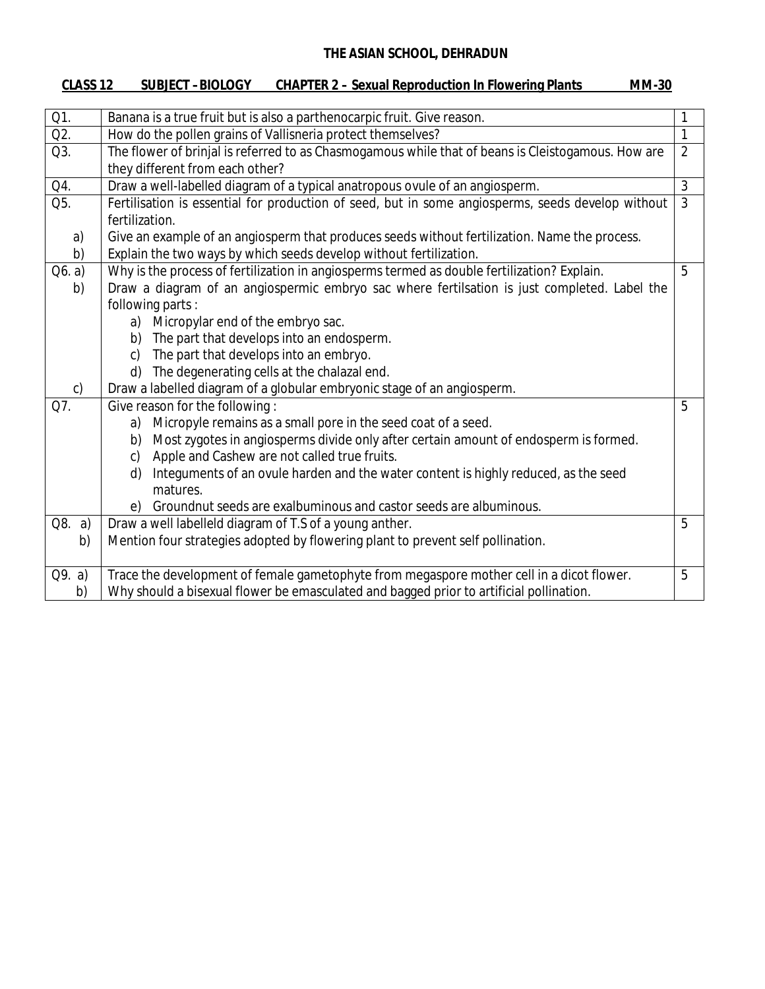| CLASS <sub>12</sub> | <b>SUBJECT -BIOLOGY</b> | <b>CHAPTER 2 – Sexual Reproduction In Flowering Plants</b> | <b>MM-30</b> |
|---------------------|-------------------------|------------------------------------------------------------|--------------|
|                     |                         |                                                            |              |

| Q1.          | Banana is a true fruit but is also a parthenocarpic fruit. Give reason.                            |                |
|--------------|----------------------------------------------------------------------------------------------------|----------------|
| Q2.          | How do the pollen grains of Vallisneria protect themselves?                                        | $\mathbf{1}$   |
| Q3.          | The flower of brinjal is referred to as Chasmogamous while that of beans is Cleistogamous. How are | $\overline{2}$ |
|              | they different from each other?                                                                    |                |
| Q4.          | Draw a well-labelled diagram of a typical anatropous ovule of an angiosperm.                       | 3              |
| Q5.          | Fertilisation is essential for production of seed, but in some angiosperms, seeds develop without  | $\mathfrak{Z}$ |
|              | fertilization.                                                                                     |                |
| a)           | Give an example of an angiosperm that produces seeds without fertilization. Name the process.      |                |
| b)           | Explain the two ways by which seeds develop without fertilization.                                 |                |
| Q6. a)       | Why is the process of fertilization in angiosperms termed as double fertilization? Explain.        | 5              |
| b)           | Draw a diagram of an angiospermic embryo sac where fertilsation is just completed. Label the       |                |
|              | following parts:                                                                                   |                |
|              | Micropylar end of the embryo sac.<br>a)                                                            |                |
|              | The part that develops into an endosperm.<br>b)                                                    |                |
|              | The part that develops into an embryo.<br>c)                                                       |                |
|              | The degenerating cells at the chalazal end.<br>d)                                                  |                |
| $\mathsf{C}$ | Draw a labelled diagram of a globular embryonic stage of an angiosperm.                            |                |
| Q7.          | Give reason for the following:                                                                     | 5              |
|              | Micropyle remains as a small pore in the seed coat of a seed.<br>a)                                |                |
|              | Most zygotes in angiosperms divide only after certain amount of endosperm is formed.<br>b)         |                |
|              | Apple and Cashew are not called true fruits.<br>C)                                                 |                |
|              | Integuments of an ovule harden and the water content is highly reduced, as the seed<br>d)          |                |
|              | matures.                                                                                           |                |
|              | Groundnut seeds are exalbuminous and castor seeds are albuminous.<br>e)                            |                |
| Q8. a)       | Draw a well labelleld diagram of T.S of a young anther.                                            | 5              |
| b)           | Mention four strategies adopted by flowering plant to prevent self pollination.                    |                |
|              |                                                                                                    |                |
| Q9. a)       | Trace the development of female gametophyte from megaspore mother cell in a dicot flower.          | 5              |
| b)           | Why should a bisexual flower be emasculated and bagged prior to artificial pollination.            |                |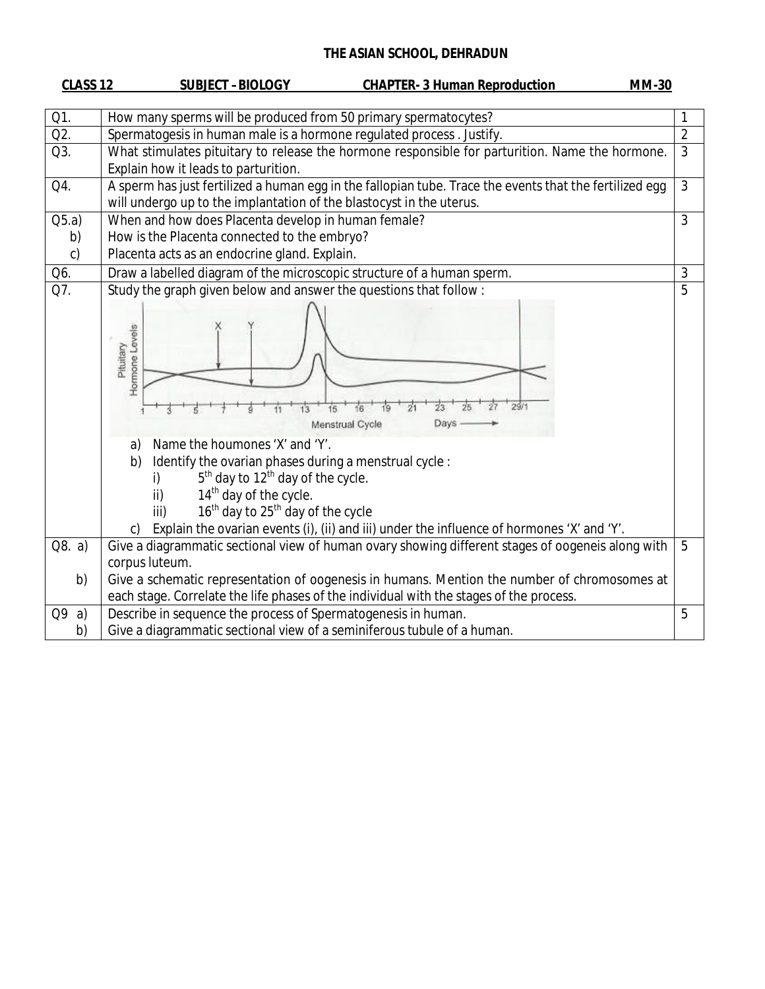| CLASS <sub>12</sub> | <b>CHAPTER- 3 Human Reproduction</b><br><b>MM-30</b><br><b>SUBJECT-BIOLOGY</b>                                                                                                                                                                                                                                                                                                                                                                                               |                |
|---------------------|------------------------------------------------------------------------------------------------------------------------------------------------------------------------------------------------------------------------------------------------------------------------------------------------------------------------------------------------------------------------------------------------------------------------------------------------------------------------------|----------------|
| Q1.                 | How many sperms will be produced from 50 primary spermatocytes?                                                                                                                                                                                                                                                                                                                                                                                                              | $\mathbf{1}$   |
| Q2.                 | Spermatogesis in human male is a hormone regulated process. Justify.                                                                                                                                                                                                                                                                                                                                                                                                         | $\overline{2}$ |
| Q3.                 | What stimulates pituitary to release the hormone responsible for parturition. Name the hormone.<br>Explain how it leads to parturition.                                                                                                                                                                                                                                                                                                                                      | $\overline{3}$ |
| Q4.                 | A sperm has just fertilized a human egg in the fallopian tube. Trace the events that the fertilized egg                                                                                                                                                                                                                                                                                                                                                                      | $\mathfrak{Z}$ |
|                     | will undergo up to the implantation of the blastocyst in the uterus.                                                                                                                                                                                                                                                                                                                                                                                                         |                |
| Q5.a)               | When and how does Placenta develop in human female?                                                                                                                                                                                                                                                                                                                                                                                                                          | 3              |
| b)                  | How is the Placenta connected to the embryo?                                                                                                                                                                                                                                                                                                                                                                                                                                 |                |
| $\mathsf{C}$        | Placenta acts as an endocrine gland. Explain.                                                                                                                                                                                                                                                                                                                                                                                                                                |                |
| Q6.                 | Draw a labelled diagram of the microscopic structure of a human sperm.                                                                                                                                                                                                                                                                                                                                                                                                       | 3              |
| Q7.                 | Study the graph given below and answer the questions that follow:                                                                                                                                                                                                                                                                                                                                                                                                            | 5              |
|                     | Hormone Levels<br>Pituitary<br>29/1<br>16<br>15<br>13<br>19<br>Menstrual Cycle<br>Days<br>Name the houmones 'X' and 'Y'.<br>a)<br>Identify the ovarian phases during a menstrual cycle:<br>b)<br>$5th$ day to 12 <sup>th</sup> day of the cycle.<br>i)<br>14 <sup>th</sup> day of the cycle.<br>ii)<br>16 <sup>th</sup> day to 25 <sup>th</sup> day of the cycle<br>iii)<br>Explain the ovarian events (i), (ii) and iii) under the influence of hormones 'X' and 'Y'.<br>C) |                |
| Q8. a)              | Give a diagrammatic sectional view of human ovary showing different stages of oogeneis along with                                                                                                                                                                                                                                                                                                                                                                            | 5              |
|                     | corpus luteum.                                                                                                                                                                                                                                                                                                                                                                                                                                                               |                |
| b)                  | Give a schematic representation of oogenesis in humans. Mention the number of chromosomes at                                                                                                                                                                                                                                                                                                                                                                                 |                |
|                     | each stage. Correlate the life phases of the individual with the stages of the process.                                                                                                                                                                                                                                                                                                                                                                                      |                |
| Q9<br>a)            | Describe in sequence the process of Spermatogenesis in human.                                                                                                                                                                                                                                                                                                                                                                                                                | 5              |
| b)                  | Give a diagrammatic sectional view of a seminiferous tubule of a human.                                                                                                                                                                                                                                                                                                                                                                                                      |                |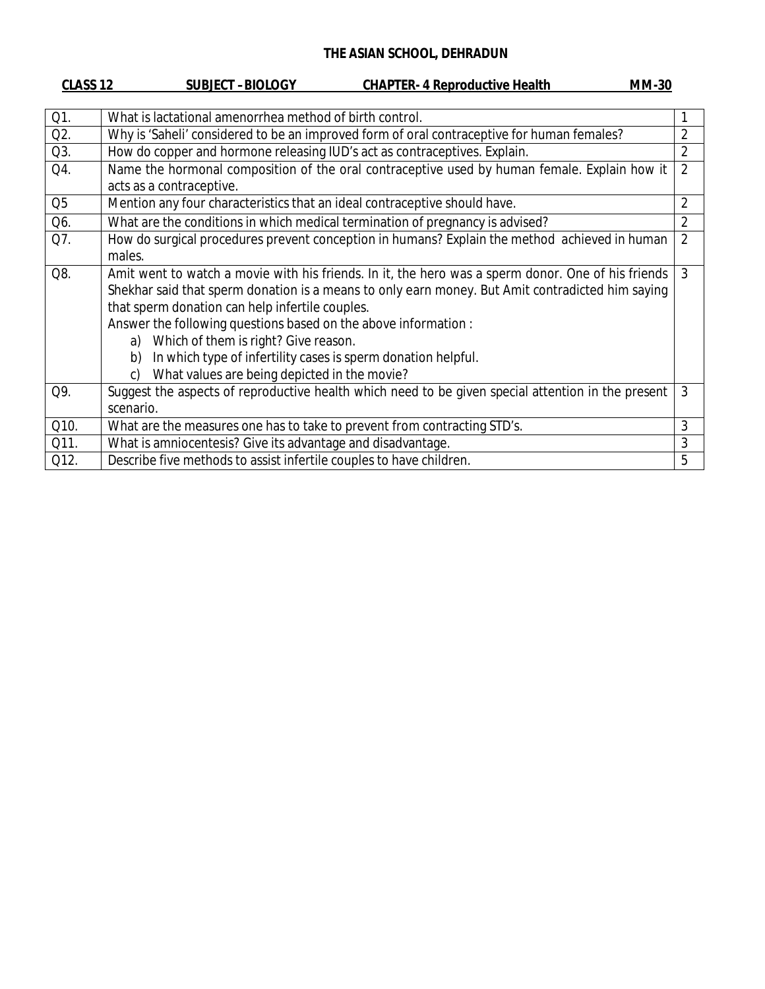| CLASS <sub>12</sub> | <b>SUBJECT-BIOLOGY</b><br><b>CHAPTER- 4 Reproductive Health</b><br><b>MM-30</b>                              |                |  |
|---------------------|--------------------------------------------------------------------------------------------------------------|----------------|--|
|                     |                                                                                                              |                |  |
| Q1.                 | What is lactational amenorrhea method of birth control.                                                      |                |  |
| Q2.                 | $\overline{2}$<br>Why is 'Saheli' considered to be an improved form of oral contraceptive for human females? |                |  |
| Q3.                 | How do copper and hormone releasing IUD's act as contraceptives. Explain.                                    | $\overline{2}$ |  |
| Q4.                 | Name the hormonal composition of the oral contraceptive used by human female. Explain how it                 | $\overline{2}$ |  |
|                     | acts as a contraceptive.                                                                                     |                |  |
| Q <sub>5</sub>      | Mention any four characteristics that an ideal contraceptive should have.                                    | $\overline{2}$ |  |
| Q6.                 | What are the conditions in which medical termination of pregnancy is advised?                                | $\overline{2}$ |  |
| Q7.                 | How do surgical procedures prevent conception in humans? Explain the method achieved in human                | $\overline{2}$ |  |
|                     | males.                                                                                                       |                |  |
| Q8.                 | Amit went to watch a movie with his friends. In it, the hero was a sperm donor. One of his friends           | 3              |  |
|                     | Shekhar said that sperm donation is a means to only earn money. But Amit contradicted him saying             |                |  |
|                     | that sperm donation can help infertile couples.                                                              |                |  |
|                     | Answer the following questions based on the above information :                                              |                |  |
|                     | Which of them is right? Give reason.<br>a)                                                                   |                |  |
|                     | In which type of infertility cases is sperm donation helpful.<br>b)                                          |                |  |
|                     | What values are being depicted in the movie?<br>C)                                                           |                |  |
| Q9.                 | Suggest the aspects of reproductive health which need to be given special attention in the present           | 3              |  |
|                     | scenario.                                                                                                    |                |  |
| Q10.                | What are the measures one has to take to prevent from contracting STD's.                                     | 3              |  |
| Q11.                | What is amniocentesis? Give its advantage and disadvantage.                                                  | 3              |  |
| Q12.                | Describe five methods to assist infertile couples to have children.                                          | 5              |  |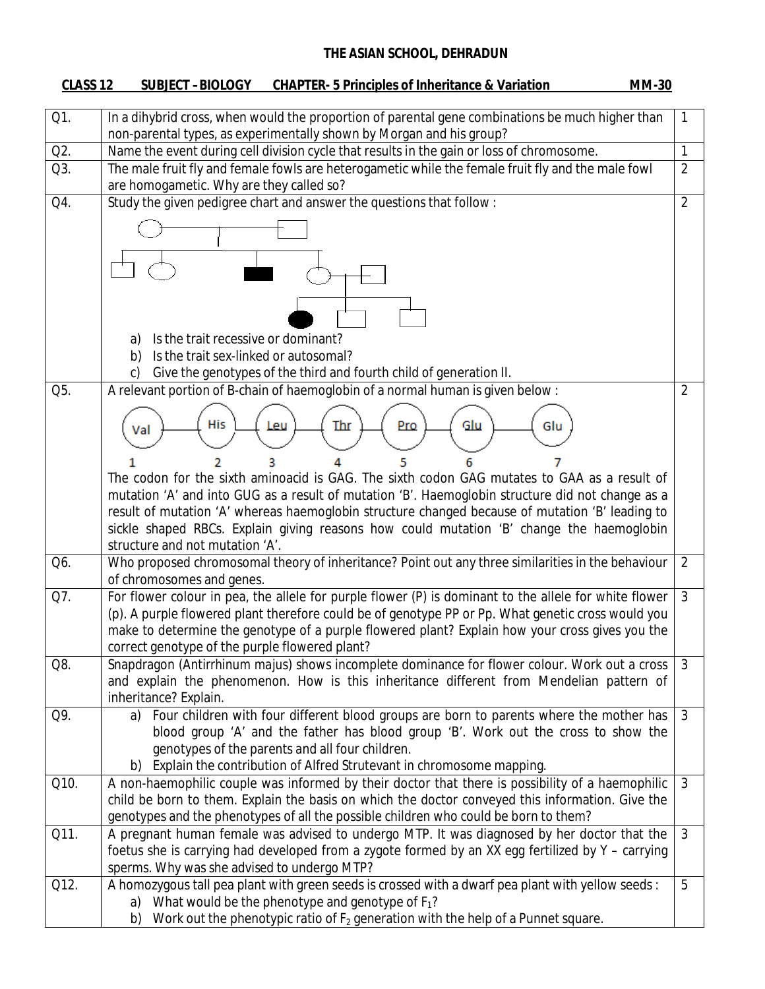# **CLASS 12 SUBJECT –BIOLOGY CHAPTER- 5 Principles of Inheritance & Variation MM-30**

| Q1.  | In a dihybrid cross, when would the proportion of parental gene combinations be much higher than<br>non-parental types, as experimentally shown by Morgan and his group?                              | 1              |
|------|-------------------------------------------------------------------------------------------------------------------------------------------------------------------------------------------------------|----------------|
| Q2.  | Name the event during cell division cycle that results in the gain or loss of chromosome.                                                                                                             | 1              |
| Q3.  | The male fruit fly and female fowls are heterogametic while the female fruit fly and the male fowl<br>are homogametic. Why are they called so?                                                        | $\overline{2}$ |
| Q4.  | Study the given pedigree chart and answer the questions that follow:                                                                                                                                  | $\overline{2}$ |
|      |                                                                                                                                                                                                       |                |
|      |                                                                                                                                                                                                       |                |
|      |                                                                                                                                                                                                       |                |
|      |                                                                                                                                                                                                       |                |
|      |                                                                                                                                                                                                       |                |
|      |                                                                                                                                                                                                       |                |
|      | Is the trait recessive or dominant?<br>a)                                                                                                                                                             |                |
|      | Is the trait sex-linked or autosomal?<br>b)                                                                                                                                                           |                |
|      | Give the genotypes of the third and fourth child of generation II.<br>$\mathsf{C}$                                                                                                                    |                |
| Q5.  | A relevant portion of B-chain of haemoglobin of a normal human is given below :                                                                                                                       | 2              |
|      |                                                                                                                                                                                                       |                |
|      | His<br>Glu<br>Leu<br>Thr<br>Pro<br>Glu<br>Val                                                                                                                                                         |                |
|      |                                                                                                                                                                                                       |                |
|      | 2                                                                                                                                                                                                     |                |
|      | The codon for the sixth aminoacid is GAG. The sixth codon GAG mutates to GAA as a result of                                                                                                           |                |
|      | mutation 'A' and into GUG as a result of mutation 'B'. Haemoglobin structure did not change as a                                                                                                      |                |
|      | result of mutation 'A' whereas haemoglobin structure changed because of mutation 'B' leading to                                                                                                       |                |
|      | sickle shaped RBCs. Explain giving reasons how could mutation 'B' change the haemoglobin                                                                                                              |                |
|      | structure and not mutation 'A'.                                                                                                                                                                       |                |
| Q6.  | Who proposed chromosomal theory of inheritance? Point out any three similarities in the behaviour                                                                                                     | $\overline{2}$ |
|      | of chromosomes and genes.                                                                                                                                                                             |                |
| Q7.  | For flower colour in pea, the allele for purple flower (P) is dominant to the allele for white flower                                                                                                 | $\mathfrak{Z}$ |
|      | (p). A purple flowered plant therefore could be of genotype PP or Pp. What genetic cross would you<br>make to determine the genotype of a purple flowered plant? Explain how your cross gives you the |                |
|      | correct genotype of the purple flowered plant?                                                                                                                                                        |                |
| Q8.  | Snapdragon (Antirrhinum majus) shows incomplete dominance for flower colour. Work out a cross                                                                                                         | 3              |
|      | and explain the phenomenon. How is this inheritance different from Mendelian pattern of                                                                                                               |                |
|      | inheritance? Explain.                                                                                                                                                                                 |                |
| Q9.  | Four children with four different blood groups are born to parents where the mother has<br>a)                                                                                                         | 3              |
|      | blood group 'A' and the father has blood group 'B'. Work out the cross to show the                                                                                                                    |                |
|      | genotypes of the parents and all four children.                                                                                                                                                       |                |
|      | Explain the contribution of Alfred Strutevant in chromosome mapping.<br>b)                                                                                                                            |                |
| Q10. | A non-haemophilic couple was informed by their doctor that there is possibility of a haemophilic                                                                                                      | 3              |
|      | child be born to them. Explain the basis on which the doctor conveyed this information. Give the                                                                                                      |                |
|      | genotypes and the phenotypes of all the possible children who could be born to them?                                                                                                                  |                |
| Q11. | A pregnant human female was advised to undergo MTP. It was diagnosed by her doctor that the                                                                                                           | 3              |
|      | foetus she is carrying had developed from a zygote formed by an XX egg fertilized by Y - carrying                                                                                                     |                |
|      | sperms. Why was she advised to undergo MTP?                                                                                                                                                           |                |
| Q12. | A homozygous tall pea plant with green seeds is crossed with a dwarf pea plant with yellow seeds :                                                                                                    | 5              |
|      | a) What would be the phenotype and genotype of $F_1$ ?                                                                                                                                                |                |
|      | Work out the phenotypic ratio of $F_2$ generation with the help of a Punnet square.<br>b)                                                                                                             |                |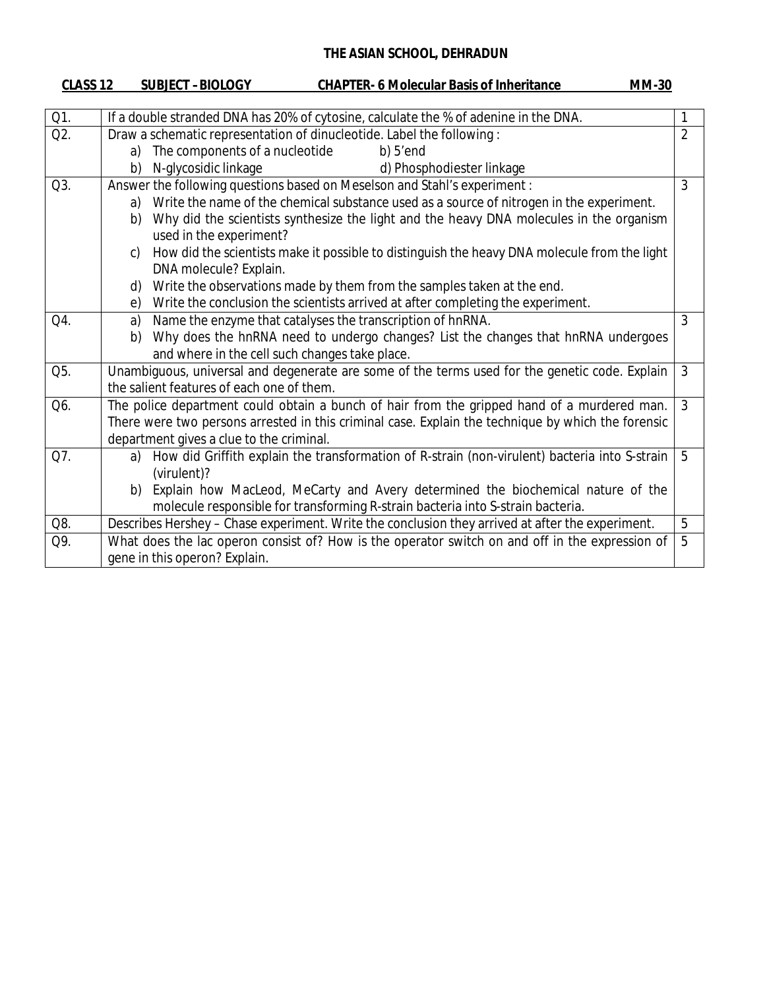| CLASS 12 | <b>SUBJECT-BIOLOGY</b><br><b>CHAPTER- 6 Molecular Basis of Inheritance</b><br><b>MM-30</b>                   |                |
|----------|--------------------------------------------------------------------------------------------------------------|----------------|
|          |                                                                                                              |                |
| Q1.      | If a double stranded DNA has 20% of cytosine, calculate the % of adenine in the DNA.                         | 1              |
| Q2.      | Draw a schematic representation of dinucleotide. Label the following:                                        | $\overline{2}$ |
|          | The components of a nucleotide<br>$b)$ 5'end<br>a)                                                           |                |
|          | N-glycosidic linkage<br>d) Phosphodiester linkage<br>b)                                                      |                |
| Q3.      | Answer the following questions based on Meselson and Stahl's experiment :                                    | 3              |
|          | Write the name of the chemical substance used as a source of nitrogen in the experiment.<br>a)               |                |
|          | Why did the scientists synthesize the light and the heavy DNA molecules in the organism<br>b)                |                |
|          | used in the experiment?                                                                                      |                |
|          | How did the scientists make it possible to distinguish the heavy DNA molecule from the light<br>$\mathsf{C}$ |                |
|          | DNA molecule? Explain.                                                                                       |                |
|          | Write the observations made by them from the samples taken at the end.<br>d)                                 |                |
|          | Write the conclusion the scientists arrived at after completing the experiment.<br>e)                        |                |
| Q4.      | Name the enzyme that catalyses the transcription of hnRNA.<br>a)                                             | 3              |
|          | Why does the hnRNA need to undergo changes? List the changes that hnRNA undergoes<br>b)                      |                |
|          | and where in the cell such changes take place.                                                               |                |
| Q5.      | Unambiguous, universal and degenerate are some of the terms used for the genetic code. Explain               | 3              |
|          | the salient features of each one of them.                                                                    |                |
| Q6.      | The police department could obtain a bunch of hair from the gripped hand of a murdered man.                  | 3              |
|          | There were two persons arrested in this criminal case. Explain the technique by which the forensic           |                |
|          | department gives a clue to the criminal.                                                                     |                |
| Q7.      | How did Griffith explain the transformation of R-strain (non-virulent) bacteria into S-strain<br>a)          | 5              |
|          | (virulent)?                                                                                                  |                |
|          | Explain how MacLeod, MeCarty and Avery determined the biochemical nature of the<br>b)                        |                |
|          | molecule responsible for transforming R-strain bacteria into S-strain bacteria.                              |                |
| Q8.      | Describes Hershey - Chase experiment. Write the conclusion they arrived at after the experiment.             | 5              |
| Q9.      | What does the lac operon consist of? How is the operator switch on and off in the expression of              | 5              |
|          | gene in this operon? Explain.                                                                                |                |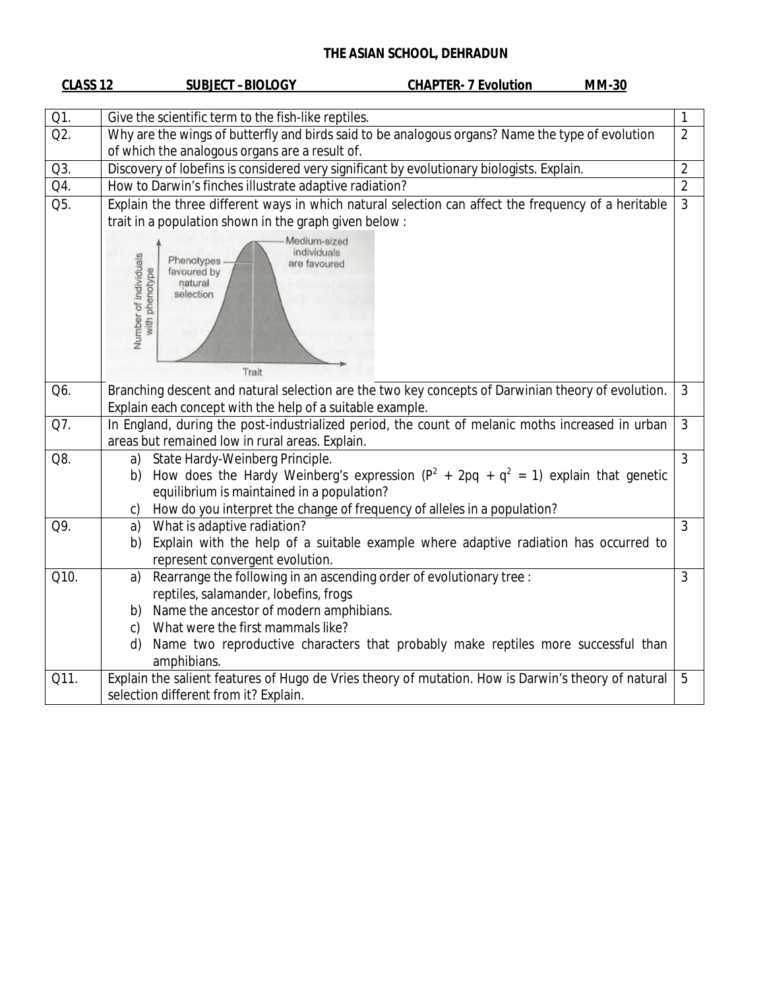| <b>CLASS 12</b>    | <b>SUBJECT-BIOLOGY</b><br><b>CHAPTER- 7 Evolution</b><br><b>MM-30</b>                                                                                |  |
|--------------------|------------------------------------------------------------------------------------------------------------------------------------------------------|--|
| Q1.                | Give the scientific term to the fish-like reptiles.<br>1                                                                                             |  |
| Q2.                | Why are the wings of butterfly and birds said to be analogous organs? Name the type of evolution<br>$\overline{2}$                                   |  |
|                    | of which the analogous organs are a result of.                                                                                                       |  |
| Q3.                | $\overline{2}$<br>Discovery of lobefins is considered very significant by evolutionary biologists. Explain.                                          |  |
| Q4.                | $\overline{2}$<br>How to Darwin's finches illustrate adaptive radiation?                                                                             |  |
| $\overline{O5}$ .  | Explain the three different ways in which natural selection can affect the frequency of a heritable<br>$\overline{3}$                                |  |
|                    | trait in a population shown in the graph given below:                                                                                                |  |
|                    | Medium-sized<br>individuals<br>Number of individuals<br>with phenotype<br>Phenotypes<br>are favoured<br>favoured by<br>natural<br>selection<br>Trait |  |
| Q6.                | Branching descent and natural selection are the two key concepts of Darwinian theory of evolution.<br>3                                              |  |
|                    | Explain each concept with the help of a suitable example.                                                                                            |  |
| Q7.                | In England, during the post-industrialized period, the count of melanic moths increased in urban<br>3                                                |  |
|                    | areas but remained low in rural areas. Explain.                                                                                                      |  |
| Q8.                | $\overline{3}$<br>State Hardy-Weinberg Principle.<br>a)                                                                                              |  |
|                    | How does the Hardy Weinberg's expression $(P^2 + 2pq + q^2 = 1)$ explain that genetic<br>b)                                                          |  |
|                    | equilibrium is maintained in a population?                                                                                                           |  |
| Q9.                | How do you interpret the change of frequency of alleles in a population?<br>C)<br>What is adaptive radiation?<br>3<br>a)                             |  |
|                    | Explain with the help of a suitable example where adaptive radiation has occurred to<br>b)                                                           |  |
|                    | represent convergent evolution.                                                                                                                      |  |
| $\overline{Q10}$ . | Rearrange the following in an ascending order of evolutionary tree :<br>3<br>a)                                                                      |  |
|                    | reptiles, salamander, lobefins, frogs                                                                                                                |  |
|                    | Name the ancestor of modern amphibians.<br>b)                                                                                                        |  |
|                    | What were the first mammals like?<br>c)                                                                                                              |  |
|                    | Name two reproductive characters that probably make reptiles more successful than<br>d)<br>amphibians.                                               |  |
| Q11.               | Explain the salient features of Hugo de Vries theory of mutation. How is Darwin's theory of natural<br>5                                             |  |
|                    | selection different from it? Explain.                                                                                                                |  |
|                    |                                                                                                                                                      |  |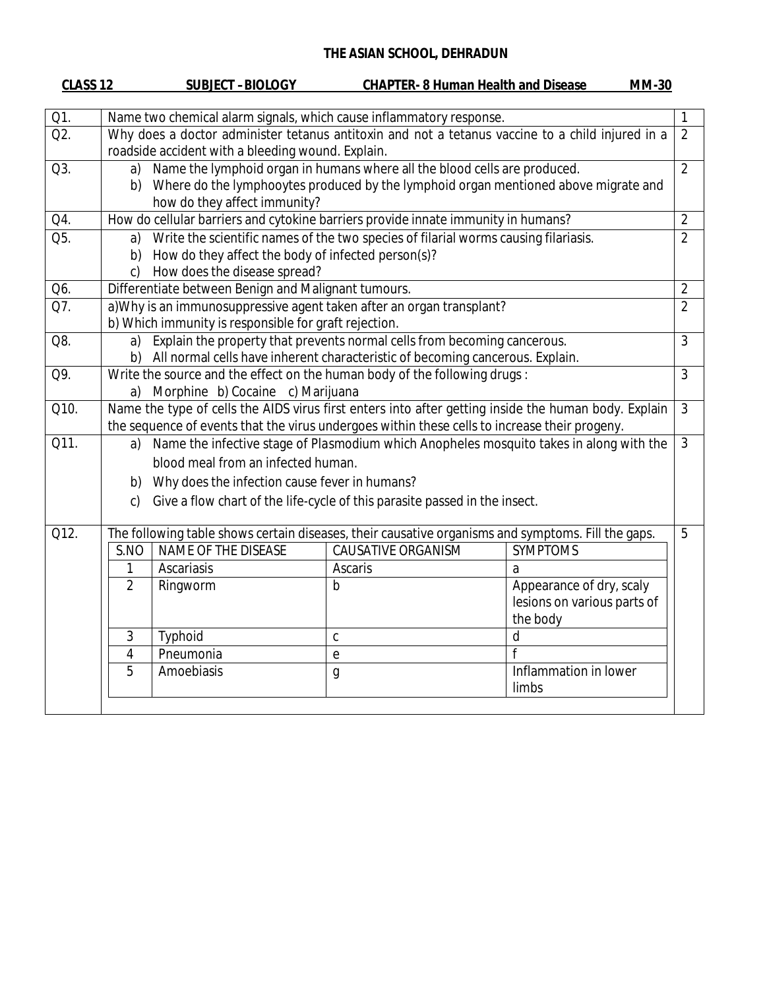| CLASS 12 |                                                                                                                                                       | <b>SUBJECT -BIOLOGY</b>                                                                                                                                                                                               | <b>CHAPTER-8 Human Health and Disease</b>                                                                                                                 | <b>MM-30</b>                                                                                         |                |
|----------|-------------------------------------------------------------------------------------------------------------------------------------------------------|-----------------------------------------------------------------------------------------------------------------------------------------------------------------------------------------------------------------------|-----------------------------------------------------------------------------------------------------------------------------------------------------------|------------------------------------------------------------------------------------------------------|----------------|
| Q1.      |                                                                                                                                                       |                                                                                                                                                                                                                       | Name two chemical alarm signals, which cause inflammatory response.                                                                                       |                                                                                                      | 1              |
| Q2.      | Why does a doctor administer tetanus antitoxin and not a tetanus vaccine to a child injured in a<br>roadside accident with a bleeding wound. Explain. |                                                                                                                                                                                                                       |                                                                                                                                                           | $\overline{2}$                                                                                       |                |
| Q3.      | a)                                                                                                                                                    | Name the lymphoid organ in humans where all the blood cells are produced.<br>$\overline{2}$<br>b) Where do the lymphooytes produced by the lymphoid organ mentioned above migrate and<br>how do they affect immunity? |                                                                                                                                                           |                                                                                                      |                |
| Q4.      |                                                                                                                                                       |                                                                                                                                                                                                                       | How do cellular barriers and cytokine barriers provide innate immunity in humans?                                                                         |                                                                                                      | $\overline{2}$ |
| Q5.      | a)<br>b)<br>c)                                                                                                                                        | How do they affect the body of infected person(s)?<br>How does the disease spread?                                                                                                                                    | Write the scientific names of the two species of filarial worms causing filariasis.                                                                       |                                                                                                      | $\overline{2}$ |
| Q6.      |                                                                                                                                                       | Differentiate between Benign and Malignant tumours.                                                                                                                                                                   |                                                                                                                                                           |                                                                                                      | $\overline{2}$ |
| Q7.      |                                                                                                                                                       | b) Which immunity is responsible for graft rejection.                                                                                                                                                                 | a) Why is an immunosuppressive agent taken after an organ transplant?                                                                                     |                                                                                                      | $\overline{2}$ |
| Q8.      | a)<br>b)                                                                                                                                              |                                                                                                                                                                                                                       | Explain the property that prevents normal cells from becoming cancerous.<br>All normal cells have inherent characteristic of becoming cancerous. Explain. |                                                                                                      | 3              |
| Q9.      | a)                                                                                                                                                    | Morphine b) Cocaine c) Marijuana                                                                                                                                                                                      | Write the source and the effect on the human body of the following drugs:                                                                                 |                                                                                                      | 3              |
| Q10.     |                                                                                                                                                       |                                                                                                                                                                                                                       | the sequence of events that the virus undergoes within these cells to increase their progeny.                                                             | Name the type of cells the AIDS virus first enters into after getting inside the human body. Explain | $\mathfrak{Z}$ |
| Q11.     | a)<br>b)<br>$\mathsf{C}$ )                                                                                                                            | blood meal from an infected human.<br>Why does the infection cause fever in humans?                                                                                                                                   | Give a flow chart of the life-cycle of this parasite passed in the insect.                                                                                | Name the infective stage of Plasmodium which Anopheles mosquito takes in along with the              | $\mathfrak{Z}$ |
| Q12.     |                                                                                                                                                       |                                                                                                                                                                                                                       | The following table shows certain diseases, their causative organisms and symptoms. Fill the gaps.                                                        |                                                                                                      | 5              |
|          | S.NO                                                                                                                                                  | NAME OF THE DISEASE                                                                                                                                                                                                   | <b>CAUSATIVE ORGANISM</b>                                                                                                                                 | <b>SYMPTOMS</b>                                                                                      |                |
|          | 1                                                                                                                                                     | Ascariasis                                                                                                                                                                                                            | Ascaris                                                                                                                                                   | a                                                                                                    |                |
|          | $\overline{2}$                                                                                                                                        | Ringworm                                                                                                                                                                                                              | b                                                                                                                                                         | Appearance of dry, scaly<br>lesions on various parts of<br>the body                                  |                |
|          | 3                                                                                                                                                     | Typhoid                                                                                                                                                                                                               | $\mathsf{C}$                                                                                                                                              | d                                                                                                    |                |
|          | 4                                                                                                                                                     | Pneumonia                                                                                                                                                                                                             | $\mathbf{e}$                                                                                                                                              | $\mathsf{f}$                                                                                         |                |
|          | 5                                                                                                                                                     | Amoebiasis                                                                                                                                                                                                            | $\mathfrak g$                                                                                                                                             | Inflammation in lower<br>limbs                                                                       |                |
|          |                                                                                                                                                       |                                                                                                                                                                                                                       |                                                                                                                                                           |                                                                                                      |                |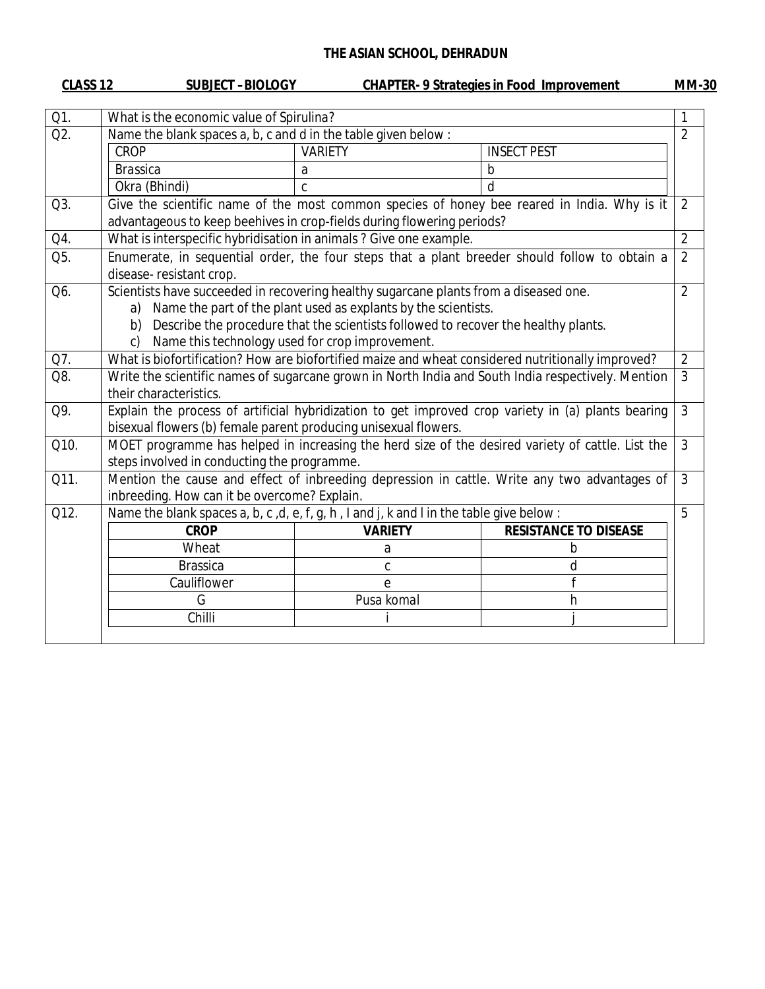| CLASS <sub>12</sub> | <b>SUBJECT-BIOLOGY</b>                                                                                                                                                                                                                                                                                                               |                | <b>CHAPTER- 9 Strategies in Food Improvement</b>                                                   | <b>MM-30</b>   |
|---------------------|--------------------------------------------------------------------------------------------------------------------------------------------------------------------------------------------------------------------------------------------------------------------------------------------------------------------------------------|----------------|----------------------------------------------------------------------------------------------------|----------------|
| Q1.                 | What is the economic value of Spirulina?                                                                                                                                                                                                                                                                                             |                |                                                                                                    |                |
| Q2.                 | Name the blank spaces a, b, c and d in the table given below:                                                                                                                                                                                                                                                                        |                |                                                                                                    | $\overline{2}$ |
|                     | <b>CROP</b>                                                                                                                                                                                                                                                                                                                          | <b>VARIETY</b> | <b>INSECT PEST</b>                                                                                 |                |
|                     | <b>Brassica</b>                                                                                                                                                                                                                                                                                                                      | a              | $\mathsf b$                                                                                        |                |
|                     | Okra (Bhindi)                                                                                                                                                                                                                                                                                                                        | C              | d                                                                                                  |                |
| Q3.                 | advantageous to keep beehives in crop-fields during flowering periods?                                                                                                                                                                                                                                                               |                | Give the scientific name of the most common species of honey bee reared in India. Why is it        | $\overline{2}$ |
| Q4.                 | What is interspecific hybridisation in animals? Give one example.                                                                                                                                                                                                                                                                    |                |                                                                                                    | $\overline{2}$ |
| Q5.                 | disease-resistant crop.                                                                                                                                                                                                                                                                                                              |                | Enumerate, in sequential order, the four steps that a plant breeder should follow to obtain a      | $\overline{2}$ |
| Q6.                 | Scientists have succeeded in recovering healthy sugarcane plants from a diseased one.<br>$\overline{2}$<br>Name the part of the plant used as explants by the scientists.<br>a)<br>Describe the procedure that the scientists followed to recover the healthy plants.<br>b)<br>Name this technology used for crop improvement.<br>c) |                |                                                                                                    |                |
| Q7.                 | What is biofortification? How are biofortified maize and wheat considered nutritionally improved?                                                                                                                                                                                                                                    |                |                                                                                                    | $\overline{2}$ |
| Q8.                 | Write the scientific names of sugarcane grown in North India and South India respectively. Mention<br>3<br>their characteristics.                                                                                                                                                                                                    |                |                                                                                                    |                |
| Q9.                 | bisexual flowers (b) female parent producing unisexual flowers.                                                                                                                                                                                                                                                                      |                | Explain the process of artificial hybridization to get improved crop variety in (a) plants bearing | $\overline{3}$ |
| Q10.                | steps involved in conducting the programme.                                                                                                                                                                                                                                                                                          |                | MOET programme has helped in increasing the herd size of the desired variety of cattle. List the   | 3              |
| Q11.                | inbreeding. How can it be overcome? Explain.                                                                                                                                                                                                                                                                                         |                | Mention the cause and effect of inbreeding depression in cattle. Write any two advantages of       | $\mathfrak{Z}$ |
| Q12.                | Name the blank spaces a, b, c, d, e, f, g, h, I and j, k and I in the table give below:                                                                                                                                                                                                                                              |                |                                                                                                    | 5              |
|                     | <b>CROP</b>                                                                                                                                                                                                                                                                                                                          | <b>VARIETY</b> | <b>RESISTANCE TO DISEASE</b>                                                                       |                |
|                     | Wheat                                                                                                                                                                                                                                                                                                                                | a              | b                                                                                                  |                |
|                     | <b>Brassica</b>                                                                                                                                                                                                                                                                                                                      | C              | d                                                                                                  |                |
|                     | Cauliflower                                                                                                                                                                                                                                                                                                                          | e              |                                                                                                    |                |
|                     | G                                                                                                                                                                                                                                                                                                                                    | Pusa komal     | h                                                                                                  |                |
|                     | Chilli                                                                                                                                                                                                                                                                                                                               |                |                                                                                                    |                |
|                     |                                                                                                                                                                                                                                                                                                                                      |                |                                                                                                    |                |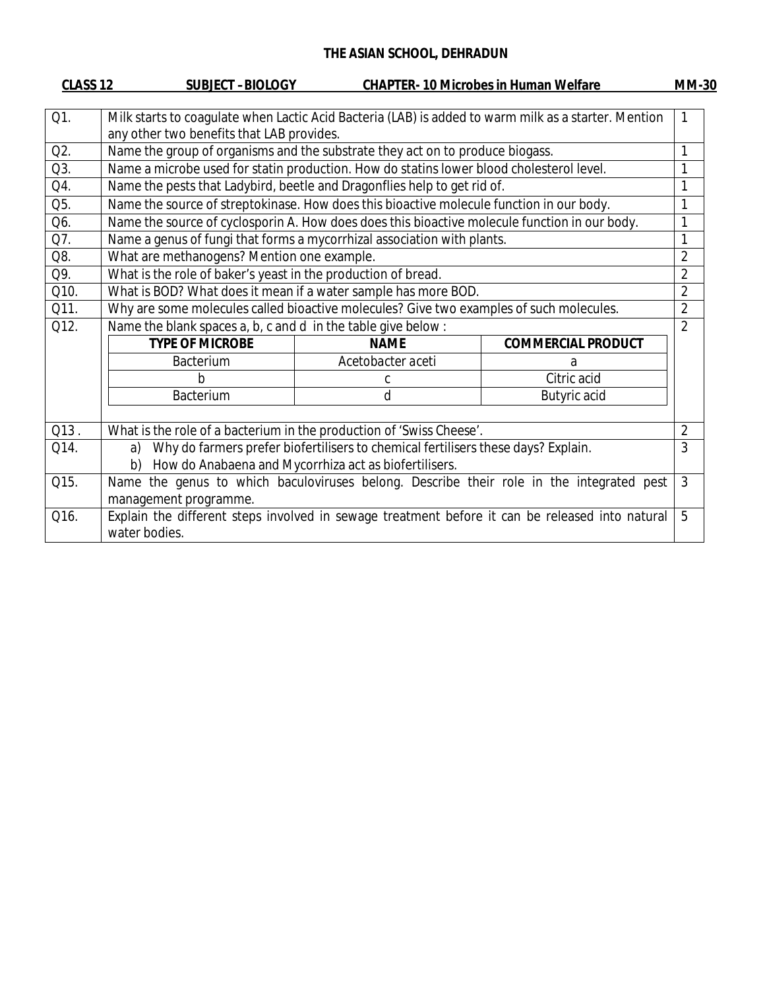| CLASS <sub>12</sub> | <b>SUBJECT-BIOLOGY</b>                                                                               |                                                                                   | <b>CHAPTER-10 Microbes in Human Welfare</b>                                                     | <b>MM-30</b>   |
|---------------------|------------------------------------------------------------------------------------------------------|-----------------------------------------------------------------------------------|-------------------------------------------------------------------------------------------------|----------------|
|                     |                                                                                                      |                                                                                   |                                                                                                 |                |
| Q1.                 | Milk starts to coagulate when Lactic Acid Bacteria (LAB) is added to warm milk as a starter. Mention |                                                                                   |                                                                                                 | 1              |
|                     | any other two benefits that LAB provides.                                                            |                                                                                   |                                                                                                 |                |
| Q2.                 | Name the group of organisms and the substrate they act on to produce biogass.                        |                                                                                   |                                                                                                 |                |
| Q3.                 | Name a microbe used for statin production. How do statins lower blood cholesterol level.             |                                                                                   |                                                                                                 |                |
| Q4.                 | Name the pests that Ladybird, beetle and Dragonflies help to get rid of.                             |                                                                                   |                                                                                                 | 1              |
| Q5.                 | Name the source of streptokinase. How does this bioactive molecule function in our body.             |                                                                                   |                                                                                                 | 1              |
| Q6.                 | Name the source of cyclosporin A. How does does this bioactive molecule function in our body.        |                                                                                   |                                                                                                 | 1              |
| Q7.                 | Name a genus of fungi that forms a mycorrhizal association with plants.                              |                                                                                   |                                                                                                 |                |
| Q8.                 | What are methanogens? Mention one example.                                                           |                                                                                   |                                                                                                 | $\overline{2}$ |
| Q9.                 | What is the role of baker's yeast in the production of bread.                                        |                                                                                   |                                                                                                 | $\overline{2}$ |
| Q10.                | What is BOD? What does it mean if a water sample has more BOD.                                       |                                                                                   |                                                                                                 | $\overline{2}$ |
| Q11.                | Why are some molecules called bioactive molecules? Give two examples of such molecules.              |                                                                                   |                                                                                                 | $\overline{2}$ |
| Q12.                | Name the blank spaces a, b, c and d in the table give below:                                         |                                                                                   |                                                                                                 | $\overline{2}$ |
|                     | <b>TYPE OF MICROBE</b>                                                                               | <b>NAME</b>                                                                       | <b>COMMERCIAL PRODUCT</b>                                                                       |                |
|                     | <b>Bacterium</b>                                                                                     | Acetobacter aceti                                                                 | a                                                                                               |                |
|                     | h                                                                                                    | C                                                                                 | Citric acid                                                                                     |                |
|                     | <b>Bacterium</b>                                                                                     | d                                                                                 | Butyric acid                                                                                    |                |
|                     |                                                                                                      |                                                                                   |                                                                                                 |                |
| $Q13$ .             | What is the role of a bacterium in the production of 'Swiss Cheese'.                                 |                                                                                   |                                                                                                 | $\overline{2}$ |
| Q14.                | a)                                                                                                   | Why do farmers prefer biofertilisers to chemical fertilisers these days? Explain. |                                                                                                 | 3              |
|                     | b)                                                                                                   | How do Anabaena and Mycorrhiza act as biofertilisers.                             |                                                                                                 |                |
| Q15.                |                                                                                                      |                                                                                   | Name the genus to which baculoviruses belong. Describe their role in the integrated pest        | 3              |
|                     | management programme.                                                                                |                                                                                   |                                                                                                 |                |
| Q16.                |                                                                                                      |                                                                                   | Explain the different steps involved in sewage treatment before it can be released into natural | 5              |
|                     | water bodies.                                                                                        |                                                                                   |                                                                                                 |                |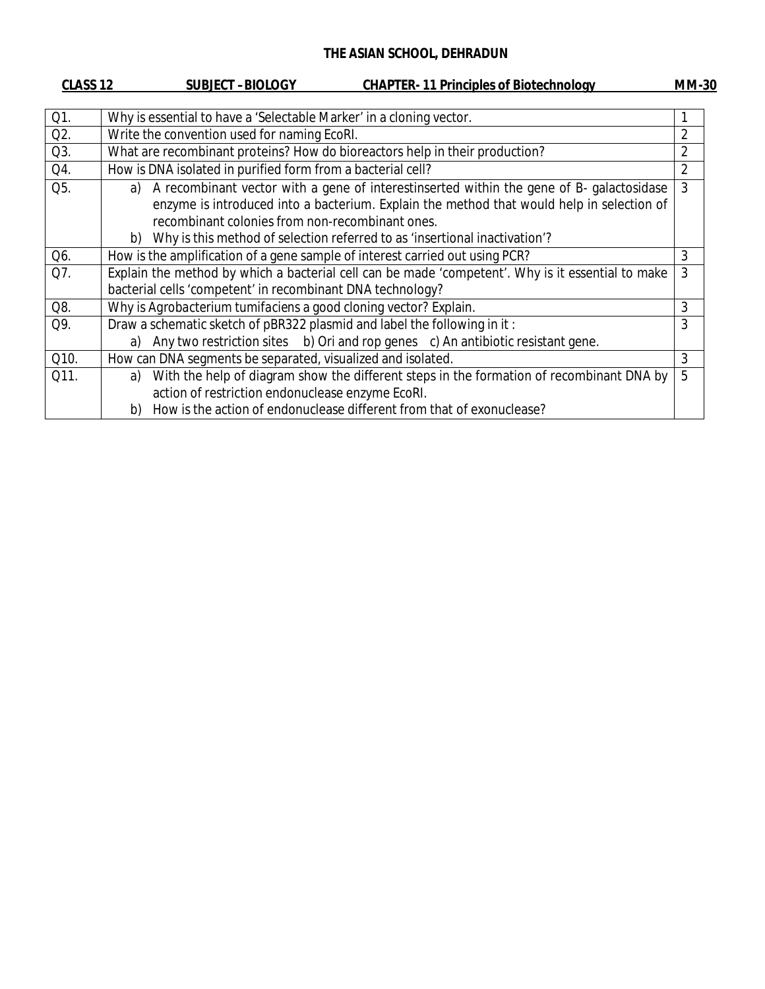| CLASS <sub>12</sub> |          | <b>SUBJECT-BIOLOGY</b>                                                       | <b>CHAPTER-11 Principles of Biotechnology</b>                                                                                                                                                                                                                       | <b>MM-30</b>   |
|---------------------|----------|------------------------------------------------------------------------------|---------------------------------------------------------------------------------------------------------------------------------------------------------------------------------------------------------------------------------------------------------------------|----------------|
| Q1.                 |          | Why is essential to have a 'Selectable Marker' in a cloning vector.          |                                                                                                                                                                                                                                                                     |                |
| Q2.                 |          | Write the convention used for naming EcoRI.                                  |                                                                                                                                                                                                                                                                     | $\overline{2}$ |
| Q3.                 |          |                                                                              | What are recombinant proteins? How do bioreactors help in their production?                                                                                                                                                                                         | $\overline{2}$ |
| Q4.                 |          | How is DNA isolated in purified form from a bacterial cell?                  |                                                                                                                                                                                                                                                                     | $\overline{2}$ |
| Q5.                 | a)<br>b) | recombinant colonies from non-recombinant ones.                              | A recombinant vector with a gene of interestinserted within the gene of B- galactosidase<br>enzyme is introduced into a bacterium. Explain the method that would help in selection of<br>Why is this method of selection referred to as 'insertional inactivation'? | 3              |
| Q6.                 |          | How is the amplification of a gene sample of interest carried out using PCR? |                                                                                                                                                                                                                                                                     | 3              |
| Q7.                 |          | bacterial cells 'competent' in recombinant DNA technology?                   | Explain the method by which a bacterial cell can be made 'competent'. Why is it essential to make                                                                                                                                                                   | 3              |
| Q8.                 |          | Why is Agrobacterium tumifaciens a good cloning vector? Explain.             |                                                                                                                                                                                                                                                                     | 3              |
| Q9.                 | a)       | Draw a schematic sketch of pBR322 plasmid and label the following in it:     | Any two restriction sites b) Ori and rop genes c) An antibiotic resistant gene.                                                                                                                                                                                     | 3              |
| Q10.                |          | How can DNA segments be separated, visualized and isolated.                  |                                                                                                                                                                                                                                                                     | 3              |
| Q11.                | a)<br>b) | action of restriction endonuclease enzyme EcoRI.                             | With the help of diagram show the different steps in the formation of recombinant DNA by<br>How is the action of endonuclease different from that of exonuclease?                                                                                                   | 5              |